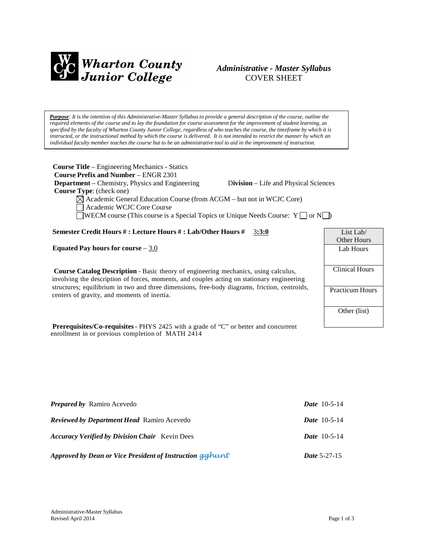

# *Administrative - Master Syllabus* COVER SHEET

Purpose: It is the intention of this Administrative-Master Syllabus to provide a general description of the course, outline the required elements of the course and to lay the foundation for course assessment for the improvement of student learning, as specified by the faculty of Wharton County Junior College, regardless of who teaches the course, the timeframe by which it is instructed, or the instructional method by which the course is delivered. It is not intended to restrict the manner by which an *individual faculty member teaches the course but to be an administrative tool to aid in the improvement of instruction.*

| <b>Course Title</b> – Engineering Mechanics - Statics<br><b>Course Prefix and Number - ENGR 2301</b>                                                                                     |                       |
|------------------------------------------------------------------------------------------------------------------------------------------------------------------------------------------|-----------------------|
| <b>Department</b> – Chemistry, Physics and Engineering<br>Division – Life and Physical Sciences                                                                                          |                       |
| <b>Course Type:</b> (check one)                                                                                                                                                          |                       |
| $\boxtimes$ Academic General Education Course (from ACGM – but not in WCJC Core)<br>Academic WCJC Core Course                                                                            |                       |
| WECM course (This course is a Special Topics or Unique Needs Course: $Y \cap \sigma N$ )                                                                                                 |                       |
| Semester Credit Hours #: Lecture Hours #: Lab/Other Hours #<br>3:3:0                                                                                                                     | List Lab/             |
|                                                                                                                                                                                          | <b>Other Hours</b>    |
| Equated Pay hours for course $-3.0$                                                                                                                                                      | Lab Hours             |
| <b>Course Catalog Description</b> - Basic theory of engineering mechanics, using calculus,<br>involving the description of forces, moments, and couples acting on stationary engineering | <b>Clinical Hours</b> |
| structures; equilibrium in two and three dimensions, free-body diagrams, friction, centroids,<br>centers of gravity, and moments of inertia.                                             | Practicum Hours       |
|                                                                                                                                                                                          | Other (list)          |

**Prerequisites/Co-requisites**- PHYS 2425 with a grade of "C" or better and concurrent enrollment in or previous completion of MATH 2414

| <b>Prepared by Ramiro Acevedo</b>                        | <b>Date</b> $10-5-14$ |
|----------------------------------------------------------|-----------------------|
| <b>Reviewed by Department Head Ramiro Acevedo</b>        | <i>Date</i> $10-5-14$ |
| <b>Accuracy Verified by Division Chair</b> Kevin Dees    | <i>Date</i> $10-5-14$ |
| Approved by Dean or Vice President of Instruction gghunt | <b>Date 5-27-15</b>   |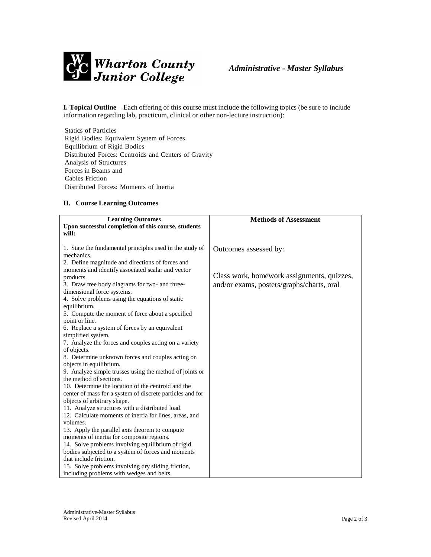

**I. Topical Outline** – Each offering of this course must include the following topics (be sure to include information regarding lab, practicum, clinical or other non-lecture instruction):

Statics of Particles Rigid Bodies: Equivalent System of Forces Equilibrium of Rigid Bodies Distributed Forces: Centroids and Centers of Gravity Analysis of Structures Forces in Beams and Cables Friction Distributed Forces: Moments of Inertia

## **II. Course Learning Outcomes**

| <b>Learning Outcomes</b>                                                      | <b>Methods of Assessment</b>               |
|-------------------------------------------------------------------------------|--------------------------------------------|
| Upon successful completion of this course, students                           |                                            |
| will:                                                                         |                                            |
|                                                                               |                                            |
| 1. State the fundamental principles used in the study of                      | Outcomes assessed by:                      |
| mechanics.                                                                    |                                            |
| 2. Define magnitude and directions of forces and                              |                                            |
| moments and identify associated scalar and vector                             | Class work, homework assignments, quizzes, |
| products.                                                                     |                                            |
| 3. Draw free body diagrams for two- and three-                                | and/or exams, posters/graphs/charts, oral  |
| dimensional force systems.<br>4. Solve problems using the equations of static |                                            |
| equilibrium.                                                                  |                                            |
| 5. Compute the moment of force about a specified                              |                                            |
| point or line.                                                                |                                            |
| 6. Replace a system of forces by an equivalent                                |                                            |
| simplified system.                                                            |                                            |
| 7. Analyze the forces and couples acting on a variety                         |                                            |
| of objects.                                                                   |                                            |
| 8. Determine unknown forces and couples acting on                             |                                            |
| objects in equilibrium.                                                       |                                            |
| 9. Analyze simple trusses using the method of joints or                       |                                            |
| the method of sections.                                                       |                                            |
| 10. Determine the location of the centroid and the                            |                                            |
| center of mass for a system of discrete particles and for                     |                                            |
| objects of arbitrary shape.                                                   |                                            |
| 11. Analyze structures with a distributed load.                               |                                            |
| 12. Calculate moments of inertia for lines, areas, and                        |                                            |
| volumes.                                                                      |                                            |
| 13. Apply the parallel axis theorem to compute                                |                                            |
| moments of inertia for composite regions.                                     |                                            |
| 14. Solve problems involving equilibrium of rigid                             |                                            |
| bodies subjected to a system of forces and moments                            |                                            |
| that include friction.                                                        |                                            |
| 15. Solve problems involving dry sliding friction,                            |                                            |
| including problems with wedges and belts.                                     |                                            |